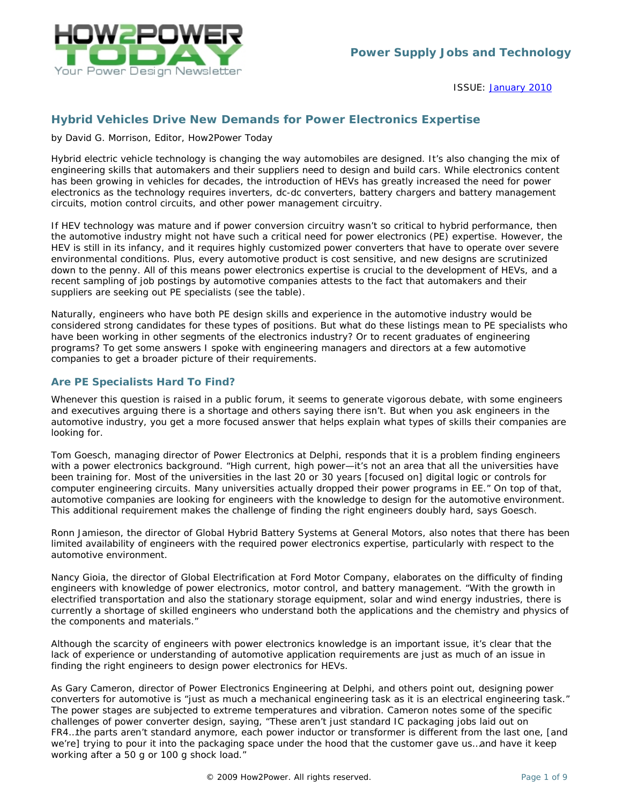

 ISSUE: ISSUE: [January 2010](http://www.how2power.com/newsletters/1001/index.html)

# *Hybrid Vehicles Drive New Demands for Power Electronics Expertise*

#### *by David G. Morrison, Editor, How2Power Today*

Hybrid electric vehicle technology is changing the way automobiles are designed. It's also changing the mix of engineering skills that automakers and their suppliers need to design and build cars. While electronics content has been growing in vehicles for decades, the introduction of HEVs has greatly increased the need for power electronics as the technology requires inverters, dc-dc converters, battery chargers and battery management circuits, motion control circuits, and other power management circuitry.

If HEV technology was mature and if power conversion circuitry wasn't so critical to hybrid performance, then the automotive industry might not have such a critical need for power electronics (PE) expertise. However, the HEV is still in its infancy, and it requires highly customized power converters that have to operate over severe environmental conditions. Plus, every automotive product is cost sensitive, and new designs are scrutinized down to the penny. All of this means power electronics expertise is crucial to the development of HEVs, and a recent sampling of job postings by automotive companies attests to the fact that automakers and their suppliers are seeking out PE specialists (see the table).

Naturally, engineers who have both PE design skills and experience in the automotive industry would be considered strong candidates for these types of positions. But what do these listings mean to PE specialists who have been working in other segments of the electronics industry? Or to recent graduates of engineering programs? To get some answers I spoke with engineering managers and directors at a few automotive companies to get a broader picture of their requirements.

### *Are PE Specialists Hard To Find?*

Whenever this question is raised in a public forum, it seems to generate vigorous debate, with some engineers and executives arguing there is a shortage and others saying there isn't. But when you ask engineers in the automotive industry, you get a more focused answer that helps explain what types of skills their companies are looking for.

Tom Goesch, managing director of Power Electronics at Delphi, responds that it is a problem finding engineers with a power electronics background. "High current, high power—it's not an area that all the universities have been training for. Most of the universities in the last 20 or 30 years [focused on] digital logic or controls for computer engineering circuits. Many universities actually dropped their power programs in EE." On top of that, automotive companies are looking for engineers with the knowledge to design for the automotive environment. This additional requirement makes the challenge of finding the right engineers doubly hard, says Goesch.

Ronn Jamieson, the director of Global Hybrid Battery Systems at General Motors, also notes that there has been limited availability of engineers with the required power electronics expertise, particularly with respect to the automotive environment.

Nancy Gioia, the director of Global Electrification at Ford Motor Company, elaborates on the difficulty of finding engineers with knowledge of power electronics, motor control, and battery management. "With the growth in electrified transportation and also the stationary storage equipment, solar and wind energy industries, there is currently a shortage of skilled engineers who understand both the applications and the chemistry and physics of the components and materials."

Although the scarcity of engineers with power electronics knowledge is an important issue, it's clear that the lack of experience or understanding of automotive application requirements are just as much of an issue in finding the right engineers to design power electronics for HEVs.

As Gary Cameron, director of Power Electronics Engineering at Delphi, and others point out, designing power converters for automotive is "just as much a mechanical engineering task as it is an electrical engineering task." The power stages are subjected to extreme temperatures and vibration. Cameron notes some of the specific challenges of power converter design, saying, "These aren't just standard IC packaging jobs laid out on FR4…the parts aren't standard anymore, each power inductor or transformer is different from the last one, [and we're] trying to pour it into the packaging space under the hood that the customer gave us…and have it keep working after a 50 g or 100 g shock load."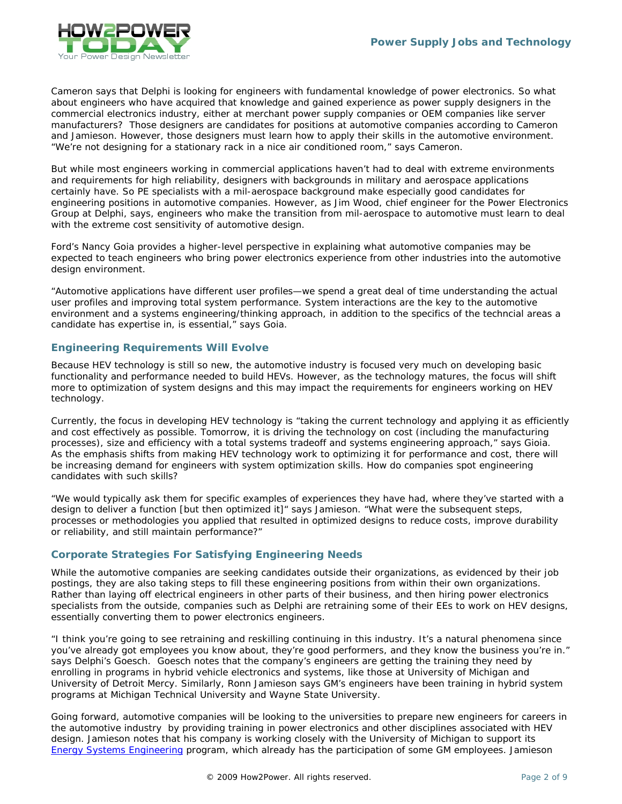

Cameron says that Delphi is looking for engineers with fundamental knowledge of power electronics. So what about engineers who have acquired that knowledge and gained experience as power supply designers in the commercial electronics industry, either at merchant power supply companies or OEM companies like server manufacturers? Those designers are candidates for positions at automotive companies according to Cameron and Jamieson. However, those designers must learn how to apply their skills in the automotive environment. "We're not designing for a stationary rack in a nice air conditioned room," says Cameron.

But while most engineers working in commercial applications haven't had to deal with extreme environments and requirements for high reliability, designers with backgrounds in military and aerospace applications certainly have. So PE specialists with a mil-aerospace background make especially good candidates for engineering positions in automotive companies. However, as Jim Wood, chief engineer for the Power Electronics Group at Delphi, says, engineers who make the transition from mil-aerospace to automotive must learn to deal with the extreme cost sensitivity of automotive design.

Ford's Nancy Goia provides a higher-level perspective in explaining what automotive companies may be expected to teach engineers who bring power electronics experience from other industries into the automotive design environment.

"Automotive applications have different user profiles—we spend a great deal of time understanding the actual user profiles and improving total system performance. System interactions are the key to the automotive environment and a systems engineering/thinking approach, in addition to the specifics of the techncial areas a candidate has expertise in, is essential," says Goia.

#### *Engineering Requirements Will Evolve*

Because HEV technology is still so new, the automotive industry is focused very much on developing basic functionality and performance needed to build HEVs. However, as the technology matures, the focus will shift more to optimization of system designs and this may impact the requirements for engineers working on HEV technology.

Currently, the focus in developing HEV technology is "taking the current technology and applying it as efficiently and cost effectively as possible. Tomorrow, it is driving the technology on cost (including the manufacturing processes), size and efficiency with a total systems tradeoff and systems engineering approach," says Gioia. As the emphasis shifts from making HEV technology work to optimizing it for performance and cost, there will be increasing demand for engineers with system optimization skills. How do companies spot engineering candidates with such skills?

"We would typically ask them for specific examples of experiences they have had, where they've started with a design to deliver a function [but then optimized it]" says Jamieson. "What were the subsequent steps, processes or methodologies you applied that resulted in optimized designs to reduce costs, improve durability or reliability, and still maintain performance?"

## *Corporate Strategies For Satisfying Engineering Needs*

While the automotive companies are seeking candidates outside their organizations, as evidenced by their job postings, they are also taking steps to fill these engineering positions from within their own organizations. Rather than laying off electrical engineers in other parts of their business, and then hiring power electronics specialists from the outside, companies such as Delphi are retraining some of their EEs to work on HEV designs, essentially converting them to power electronics engineers.

"I think you're going to see retraining and reskilling continuing in this industry. It's a natural phenomena since you've already got employees you know about, they're good performers, and they know the business you're in." says Delphi's Goesch. Goesch notes that the company's engineers are getting the training they need by enrolling in programs in hybrid vehicle electronics and systems, like those at University of Michigan and University of Detroit Mercy. Similarly, Ronn Jamieson says GM's engineers have been training in hybrid system programs at Michigan Technical University and Wayne State University.

Going forward, automotive companies will be looking to the universities to prepare new engineers for careers in the automotive industry by providing training in power electronics and other disciplines associated with HEV design. Jamieson notes that his company is working closely with the University of Michigan to support its [Energy Systems Engineering](http://energysystemseng.engin.umich.edu/generalmotors.html) program, which already has the participation of some GM employees. Jamieson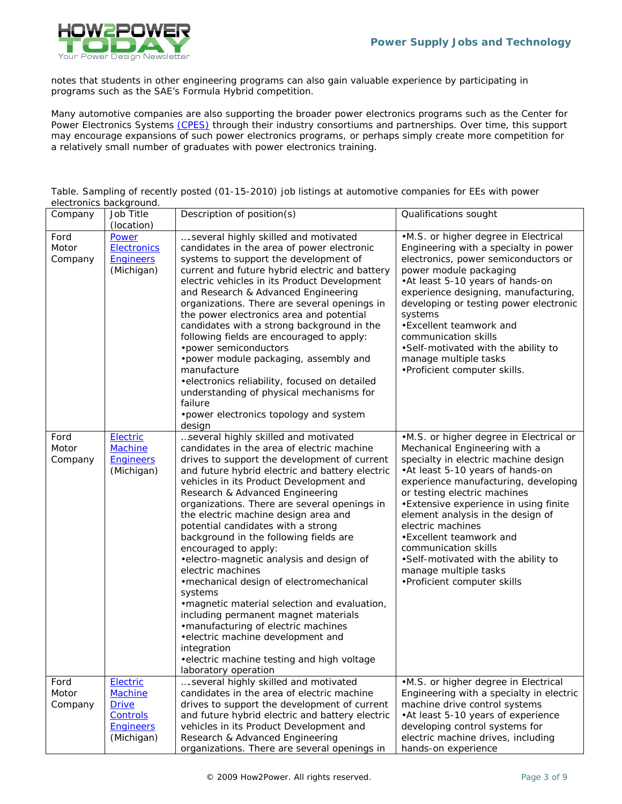

notes that students in other engineering programs can also gain valuable experience by participating in programs such as the SAE's Formula Hybrid competition.

Many automotive companies are also supporting the broader power electronics programs such as the Center for Power Electronics Systems [\(CPES\)](http://www.cpes.vt.edu/partners.php) through their industry consortiums and partnerships. Over time, this support may encourage expansions of such power electronics programs, or perhaps simply create more competition for a relatively small number of graduates with power electronics training.

Table. Sampling of recently posted (01-15-2010) job listings at automotive companies for EEs with power electronics background.

| Company                  | Job Title<br>(location)                                       | Description of position(s)                                                                                                                                                                                                                                                                                                                                                                                                                                                                                                                                                                                                                                                                                                                                                                                                                                | Qualifications sought                                                                                                                                                                                                                                                                                                                                                                                                                                                             |
|--------------------------|---------------------------------------------------------------|-----------------------------------------------------------------------------------------------------------------------------------------------------------------------------------------------------------------------------------------------------------------------------------------------------------------------------------------------------------------------------------------------------------------------------------------------------------------------------------------------------------------------------------------------------------------------------------------------------------------------------------------------------------------------------------------------------------------------------------------------------------------------------------------------------------------------------------------------------------|-----------------------------------------------------------------------------------------------------------------------------------------------------------------------------------------------------------------------------------------------------------------------------------------------------------------------------------------------------------------------------------------------------------------------------------------------------------------------------------|
| Ford<br>Motor<br>Company | Power<br><b>Electronics</b><br><b>Engineers</b><br>(Michigan) | several highly skilled and motivated<br>candidates in the area of power electronic<br>systems to support the development of<br>current and future hybrid electric and battery<br>electric vehicles in its Product Development<br>and Research & Advanced Engineering<br>organizations. There are several openings in<br>the power electronics area and potential<br>candidates with a strong background in the<br>following fields are encouraged to apply:<br>• power semiconductors<br>•power module packaging, assembly and<br>manufacture<br>• electronics reliability, focused on detailed<br>understanding of physical mechanisms for<br>failure<br>• power electronics topology and system<br>design                                                                                                                                               | •M.S. or higher degree in Electrical<br>Engineering with a specialty in power<br>electronics, power semiconductors or<br>power module packaging<br>•At least 5-10 years of hands-on<br>experience designing, manufacturing,<br>developing or testing power electronic<br>systems<br>• Excellent teamwork and<br>communication skills<br>•Self-motivated with the ability to<br>manage multiple tasks<br>•Proficient computer skills.                                              |
| Ford<br>Motor<br>Company | Electric<br><b>Machine</b><br><b>Engineers</b><br>(Michigan)  | several highly skilled and motivated<br>candidates in the area of electric machine<br>drives to support the development of current<br>and future hybrid electric and battery electric<br>vehicles in its Product Development and<br>Research & Advanced Engineering<br>organizations. There are several openings in<br>the electric machine design area and<br>potential candidates with a strong<br>background in the following fields are<br>encouraged to apply:<br>• electro-magnetic analysis and design of<br>electric machines<br>• mechanical design of electromechanical<br>systems<br>• magnetic material selection and evaluation,<br>including permanent magnet materials<br>• manufacturing of electric machines<br>• electric machine development and<br>integration<br>• electric machine testing and high voltage<br>laboratory operation | .M.S. or higher degree in Electrical or<br>Mechanical Engineering with a<br>specialty in electric machine design<br>•At least 5-10 years of hands-on<br>experience manufacturing, developing<br>or testing electric machines<br>•Extensive experience in using finite<br>element analysis in the design of<br>electric machines<br>•Excellent teamwork and<br>communication skills<br>•Self-motivated with the ability to<br>manage multiple tasks<br>•Proficient computer skills |
| Ford<br>Motor            | Electric<br><b>Machine</b>                                    | several highly skilled and motivated<br>candidates in the area of electric machine                                                                                                                                                                                                                                                                                                                                                                                                                                                                                                                                                                                                                                                                                                                                                                        | •M.S. or higher degree in Electrical<br>Engineering with a specialty in electric                                                                                                                                                                                                                                                                                                                                                                                                  |
| Company                  | <b>Drive</b>                                                  | drives to support the development of current                                                                                                                                                                                                                                                                                                                                                                                                                                                                                                                                                                                                                                                                                                                                                                                                              | machine drive control systems                                                                                                                                                                                                                                                                                                                                                                                                                                                     |
|                          | Controls<br><b>Engineers</b>                                  | and future hybrid electric and battery electric<br>vehicles in its Product Development and                                                                                                                                                                                                                                                                                                                                                                                                                                                                                                                                                                                                                                                                                                                                                                | •At least 5-10 years of experience<br>developing control systems for                                                                                                                                                                                                                                                                                                                                                                                                              |
|                          | (Michigan)                                                    | Research & Advanced Engineering                                                                                                                                                                                                                                                                                                                                                                                                                                                                                                                                                                                                                                                                                                                                                                                                                           | electric machine drives, including                                                                                                                                                                                                                                                                                                                                                                                                                                                |
|                          |                                                               | organizations. There are several openings in                                                                                                                                                                                                                                                                                                                                                                                                                                                                                                                                                                                                                                                                                                                                                                                                              | hands-on experience                                                                                                                                                                                                                                                                                                                                                                                                                                                               |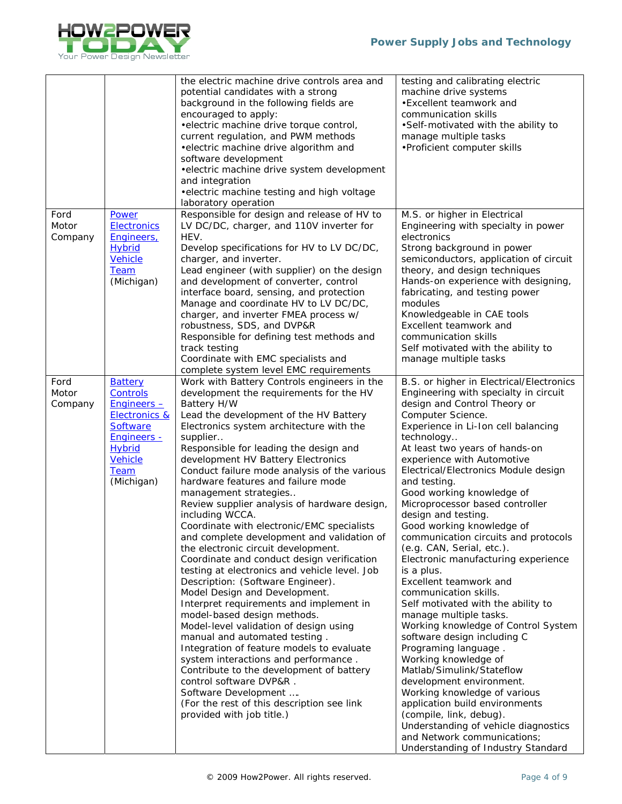

|                          |                                                                                                                                                                           | the electric machine drive controls area and<br>potential candidates with a strong<br>background in the following fields are<br>encouraged to apply:<br>• electric machine drive torque control,<br>current regulation, and PWM methods<br>• electric machine drive algorithm and<br>software development<br>• electric machine drive system development<br>and integration<br>• electric machine testing and high voltage<br>laboratory operation                                                                                                                                                                                                                                                                                                                                                                                                                                                                                                                                                                                                                                                                                                                                                    | testing and calibrating electric<br>machine drive systems<br>•Excellent teamwork and<br>communication skills<br>•Self-motivated with the ability to<br>manage multiple tasks<br>•Proficient computer skills                                                                                                                                                                                                                                                                                                                                                                                                                                                                                                                                                                                                                                                                                                                                                                                                                                                                   |
|--------------------------|---------------------------------------------------------------------------------------------------------------------------------------------------------------------------|-------------------------------------------------------------------------------------------------------------------------------------------------------------------------------------------------------------------------------------------------------------------------------------------------------------------------------------------------------------------------------------------------------------------------------------------------------------------------------------------------------------------------------------------------------------------------------------------------------------------------------------------------------------------------------------------------------------------------------------------------------------------------------------------------------------------------------------------------------------------------------------------------------------------------------------------------------------------------------------------------------------------------------------------------------------------------------------------------------------------------------------------------------------------------------------------------------|-------------------------------------------------------------------------------------------------------------------------------------------------------------------------------------------------------------------------------------------------------------------------------------------------------------------------------------------------------------------------------------------------------------------------------------------------------------------------------------------------------------------------------------------------------------------------------------------------------------------------------------------------------------------------------------------------------------------------------------------------------------------------------------------------------------------------------------------------------------------------------------------------------------------------------------------------------------------------------------------------------------------------------------------------------------------------------|
| Ford<br>Motor<br>Company | Power<br><b>Electronics</b><br>Engineers,<br><b>Hybrid</b><br><b>Vehicle</b><br><b>Team</b><br>(Michigan)                                                                 | Responsible for design and release of HV to<br>LV DC/DC, charger, and 110V inverter for<br>HEV.<br>Develop specifications for HV to LV DC/DC,<br>charger, and inverter.<br>Lead engineer (with supplier) on the design<br>and development of converter, control<br>interface board, sensing, and protection<br>Manage and coordinate HV to LV DC/DC,<br>charger, and inverter FMEA process w/<br>robustness, SDS, and DVP&R<br>Responsible for defining test methods and<br>track testing<br>Coordinate with EMC specialists and<br>complete system level EMC requirements                                                                                                                                                                                                                                                                                                                                                                                                                                                                                                                                                                                                                            | M.S. or higher in Electrical<br>Engineering with specialty in power<br>electronics<br>Strong background in power<br>semiconductors, application of circuit<br>theory, and design techniques<br>Hands-on experience with designing,<br>fabricating, and testing power<br>modules<br>Knowledgeable in CAE tools<br>Excellent teamwork and<br>communication skills<br>Self motivated with the ability to<br>manage multiple tasks                                                                                                                                                                                                                                                                                                                                                                                                                                                                                                                                                                                                                                                |
| Ford<br>Motor<br>Company | <b>Battery</b><br>Controls<br>$Enqineers -$<br><b>Electronics &amp;</b><br><b>Software</b><br><b>Engineers -</b><br><b>Hybrid</b><br>Vehicle<br><b>Team</b><br>(Michigan) | Work with Battery Controls engineers in the<br>development the requirements for the HV<br>Battery H/W<br>Lead the development of the HV Battery<br>Electronics system architecture with the<br>supplier<br>Responsible for leading the design and<br>development HV Battery Electronics<br>Conduct failure mode analysis of the various<br>hardware features and failure mode<br>management strategies<br>Review supplier analysis of hardware design,<br>including WCCA.<br>Coordinate with electronic/EMC specialists<br>and complete development and validation of<br>the electronic circuit development.<br>Coordinate and conduct design verification<br>testing at electronics and vehicle level. Job<br>Description: (Software Engineer).<br>Model Design and Development.<br>Interpret requirements and implement in<br>model-based design methods.<br>Model-level validation of design using<br>manual and automated testing.<br>Integration of feature models to evaluate<br>system interactions and performance.<br>Contribute to the development of battery<br>control software DVP&R.<br>Software Development<br>(For the rest of this description see link<br>provided with job title.) | B.S. or higher in Electrical/Electronics<br>Engineering with specialty in circuit<br>design and Control Theory or<br>Computer Science.<br>Experience in Li-Ion cell balancing<br>technology<br>At least two years of hands-on<br>experience with Automotive<br>Electrical/Electronics Module design<br>and testing.<br>Good working knowledge of<br>Microprocessor based controller<br>design and testing.<br>Good working knowledge of<br>communication circuits and protocols<br>(e.g. CAN, Serial, etc.).<br>Electronic manufacturing experience<br>is a plus.<br>Excellent teamwork and<br>communication skills.<br>Self motivated with the ability to<br>manage multiple tasks.<br>Working knowledge of Control System<br>software design including C<br>Programing language.<br>Working knowledge of<br>Matlab/Simulink/Stateflow<br>development environment.<br>Working knowledge of various<br>application build environments<br>(compile, link, debug).<br>Understanding of vehicle diagnostics<br>and Network communications;<br>Understanding of Industry Standard |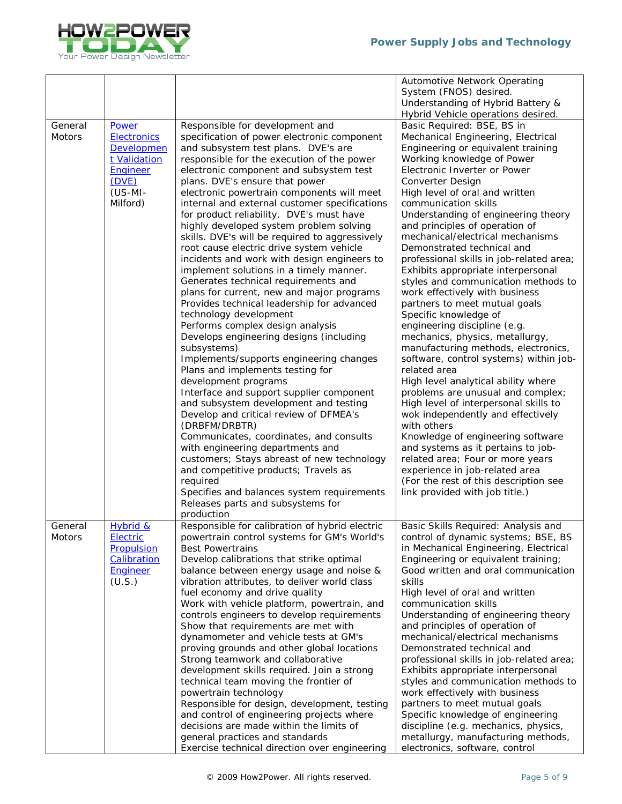

|               |                    |                                                                       | Automotive Network Operating                                    |
|---------------|--------------------|-----------------------------------------------------------------------|-----------------------------------------------------------------|
|               |                    |                                                                       | System (FNOS) desired.                                          |
|               |                    |                                                                       | Understanding of Hybrid Battery &                               |
|               |                    |                                                                       | Hybrid Vehicle operations desired.                              |
| General       | Power              | Responsible for development and                                       | Basic Required: BSE, BS in                                      |
| <b>Motors</b> | <b>Electronics</b> | specification of power electronic component                           | Mechanical Engineering, Electrical                              |
|               | <b>Developmen</b>  | and subsystem test plans. DVE's are                                   | Engineering or equivalent training                              |
|               | t Validation       | responsible for the execution of the power                            | Working knowledge of Power                                      |
|               | <b>Engineer</b>    | electronic component and subsystem test                               | Electronic Inverter or Power                                    |
|               | (DVE)              | plans. DVE's ensure that power                                        | Converter Design                                                |
|               | $(US-MI -$         | electronic powertrain components will meet                            | High level of oral and written                                  |
|               | Milford)           | internal and external customer specifications                         | communication skills                                            |
|               |                    | for product reliability. DVE's must have                              | Understanding of engineering theory                             |
|               |                    | highly developed system problem solving                               | and principles of operation of                                  |
|               |                    | skills. DVE's will be required to aggressively                        | mechanical/electrical mechanisms                                |
|               |                    | root cause electric drive system vehicle                              | Demonstrated technical and                                      |
|               |                    | incidents and work with design engineers to                           | professional skills in job-related area;                        |
|               |                    | implement solutions in a timely manner.                               | Exhibits appropriate interpersonal                              |
|               |                    | Generates technical requirements and                                  | styles and communication methods to                             |
|               |                    | plans for current, new and major programs                             | work effectively with business                                  |
|               |                    | Provides technical leadership for advanced                            | partners to meet mutual goals                                   |
|               |                    | technology development                                                | Specific knowledge of                                           |
|               |                    | Performs complex design analysis                                      | engineering discipline (e.g.                                    |
|               |                    | Develops engineering designs (including                               | mechanics, physics, metallurgy,                                 |
|               |                    | subsystems)                                                           | manufacturing methods, electronics,                             |
|               |                    | Implements/supports engineering changes                               | software, control systems) within job-                          |
|               |                    | Plans and implements testing for                                      | related area                                                    |
|               |                    | development programs                                                  | High level analytical ability where                             |
|               |                    | Interface and support supplier component                              | problems are unusual and complex;                               |
|               |                    | and subsystem development and testing                                 | High level of interpersonal skills to                           |
|               |                    | Develop and critical review of DFMEA's                                | wok independently and effectively                               |
|               |                    | (DRBFM/DRBTR)                                                         | with others                                                     |
|               |                    | Communicates, coordinates, and consults                               | Knowledge of engineering software                               |
|               |                    | with engineering departments and                                      | and systems as it pertains to job-                              |
|               |                    | customers; Stays abreast of new technology                            | related area; Four or more years                                |
|               |                    | and competitive products; Travels as                                  | experience in job-related area                                  |
|               |                    | required                                                              | (For the rest of this description see                           |
|               |                    | Specifies and balances system requirements                            | link provided with job title.)                                  |
|               |                    | Releases parts and subsystems for                                     |                                                                 |
|               |                    | production                                                            |                                                                 |
| General       | Hybrid &           | Responsible for calibration of hybrid electric                        | Basic Skills Required: Analysis and                             |
| Motors        | Electric           | powertrain control systems for GM's World's                           | control of dynamic systems; BSE, BS                             |
|               | <b>Propulsion</b>  | <b>Best Powertrains</b>                                               | in Mechanical Engineering, Electrical                           |
|               | <b>Calibration</b> | Develop calibrations that strike optimal                              | Engineering or equivalent training;                             |
|               | <b>Engineer</b>    | balance between energy usage and noise &                              | Good written and oral communication                             |
|               | (U.S.)             | vibration attributes, to deliver world class                          | skills                                                          |
|               |                    | fuel economy and drive quality                                        | High level of oral and written                                  |
|               |                    | Work with vehicle platform, powertrain, and                           | communication skills                                            |
|               |                    | controls engineers to develop requirements                            | Understanding of engineering theory                             |
|               |                    | Show that requirements are met with                                   | and principles of operation of                                  |
|               |                    | dynamometer and vehicle tests at GM's                                 | mechanical/electrical mechanisms                                |
|               |                    | proving grounds and other global locations                            | Demonstrated technical and                                      |
|               |                    | Strong teamwork and collaborative                                     | professional skills in job-related area;                        |
|               |                    | development skills required. Join a strong                            | Exhibits appropriate interpersonal                              |
|               |                    | technical team moving the frontier of                                 | styles and communication methods to                             |
|               |                    |                                                                       |                                                                 |
|               |                    | powertrain technology<br>Responsible for design, development, testing | work effectively with business<br>partners to meet mutual goals |
|               |                    | and control of engineering projects where                             | Specific knowledge of engineering                               |
|               |                    | decisions are made within the limits of                               |                                                                 |
|               |                    |                                                                       | discipline (e.g. mechanics, physics,                            |
|               |                    | general practices and standards                                       | metallurgy, manufacturing methods,                              |
|               |                    | Exercise technical direction over engineering                         | electronics, software, control                                  |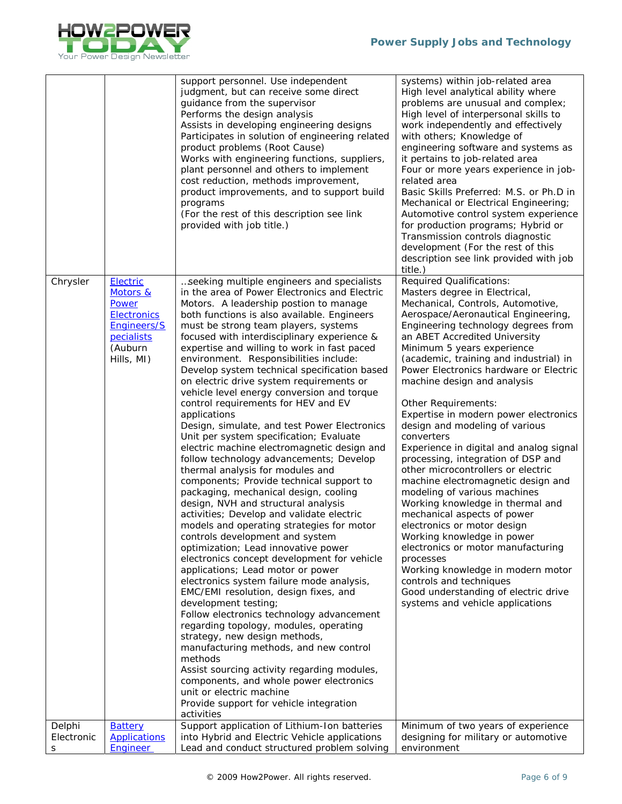

|                      |                                                                                                           | support personnel. Use independent<br>judgment, but can receive some direct<br>guidance from the supervisor<br>Performs the design analysis<br>Assists in developing engineering designs<br>Participates in solution of engineering related<br>product problems (Root Cause)<br>Works with engineering functions, suppliers,<br>plant personnel and others to implement<br>cost reduction, methods improvement,<br>product improvements, and to support build<br>programs<br>(For the rest of this description see link<br>provided with job title.)                                                                                                                                                                                                                                                                                                                                                                                                                                                                                                                                                                                                                                                                                                                                                                                                                                                                                                                                                                                                                                                                                                         | systems) within job-related area<br>High level analytical ability where<br>problems are unusual and complex;<br>High level of interpersonal skills to<br>work independently and effectively<br>with others; Knowledge of<br>engineering software and systems as<br>it pertains to job-related area<br>Four or more years experience in job-<br>related area<br>Basic Skills Preferred: M.S. or Ph.D in<br>Mechanical or Electrical Engineering;<br>Automotive control system experience<br>for production programs; Hybrid or<br>Transmission controls diagnostic<br>development (For the rest of this<br>description see link provided with job                                                                                                                                                                                                                                                                                                                                                                             |
|----------------------|-----------------------------------------------------------------------------------------------------------|--------------------------------------------------------------------------------------------------------------------------------------------------------------------------------------------------------------------------------------------------------------------------------------------------------------------------------------------------------------------------------------------------------------------------------------------------------------------------------------------------------------------------------------------------------------------------------------------------------------------------------------------------------------------------------------------------------------------------------------------------------------------------------------------------------------------------------------------------------------------------------------------------------------------------------------------------------------------------------------------------------------------------------------------------------------------------------------------------------------------------------------------------------------------------------------------------------------------------------------------------------------------------------------------------------------------------------------------------------------------------------------------------------------------------------------------------------------------------------------------------------------------------------------------------------------------------------------------------------------------------------------------------------------|------------------------------------------------------------------------------------------------------------------------------------------------------------------------------------------------------------------------------------------------------------------------------------------------------------------------------------------------------------------------------------------------------------------------------------------------------------------------------------------------------------------------------------------------------------------------------------------------------------------------------------------------------------------------------------------------------------------------------------------------------------------------------------------------------------------------------------------------------------------------------------------------------------------------------------------------------------------------------------------------------------------------------|
| Chrysler             | Electric<br>Motors &<br>Power<br><b>Electronics</b><br>Engineers/S<br>pecialists<br>(Auburn<br>Hills, MI) | seeking multiple engineers and specialists<br>in the area of Power Electronics and Electric<br>Motors. A leadership postion to manage<br>both functions is also available. Engineers<br>must be strong team players, systems<br>focused with interdisciplinary experience &<br>expertise and willing to work in fast paced<br>environment. Responsibilities include:<br>Develop system technical specification based<br>on electric drive system requirements or<br>vehicle level energy conversion and torque<br>control requirements for HEV and EV<br>applications<br>Design, simulate, and test Power Electronics<br>Unit per system specification; Evaluate<br>electric machine electromagnetic design and<br>follow technology advancements; Develop<br>thermal analysis for modules and<br>components; Provide technical support to<br>packaging, mechanical design, cooling<br>design, NVH and structural analysis<br>activities; Develop and validate electric<br>models and operating strategies for motor<br>controls development and system<br>optimization; Lead innovative power<br>electronics concept development for vehicle<br>applications; Lead motor or power<br>electronics system failure mode analysis,<br>EMC/EMI resolution, design fixes, and<br>development testing;<br>Follow electronics technology advancement<br>regarding topology, modules, operating<br>strategy, new design methods,<br>manufacturing methods, and new control<br>methods<br>Assist sourcing activity regarding modules,<br>components, and whole power electronics<br>unit or electric machine<br>Provide support for vehicle integration<br>activities | title.)<br><b>Required Qualifications:</b><br>Masters degree in Electrical,<br>Mechanical, Controls, Automotive,<br>Aerospace/Aeronautical Engineering,<br>Engineering technology degrees from<br>an ABET Accredited University<br>Minimum 5 years experience<br>(academic, training and industrial) in<br>Power Electronics hardware or Electric<br>machine design and analysis<br>Other Requirements:<br>Expertise in modern power electronics<br>design and modeling of various<br>converters<br>Experience in digital and analog signal<br>processing, integration of DSP and<br>other microcontrollers or electric<br>machine electromagnetic design and<br>modeling of various machines<br>Working knowledge in thermal and<br>mechanical aspects of power<br>electronics or motor design<br>Working knowledge in power<br>electronics or motor manufacturing<br>processes<br>Working knowledge in modern motor<br>controls and techniques<br>Good understanding of electric drive<br>systems and vehicle applications |
| Delphi<br>Electronic | <b>Battery</b><br><b>Applications</b>                                                                     | Support application of Lithium-Ion batteries<br>into Hybrid and Electric Vehicle applications                                                                                                                                                                                                                                                                                                                                                                                                                                                                                                                                                                                                                                                                                                                                                                                                                                                                                                                                                                                                                                                                                                                                                                                                                                                                                                                                                                                                                                                                                                                                                                | Minimum of two years of experience<br>designing for military or automotive                                                                                                                                                                                                                                                                                                                                                                                                                                                                                                                                                                                                                                                                                                                                                                                                                                                                                                                                                   |
| S                    | Engineer                                                                                                  | Lead and conduct structured problem solving                                                                                                                                                                                                                                                                                                                                                                                                                                                                                                                                                                                                                                                                                                                                                                                                                                                                                                                                                                                                                                                                                                                                                                                                                                                                                                                                                                                                                                                                                                                                                                                                                  | environment                                                                                                                                                                                                                                                                                                                                                                                                                                                                                                                                                                                                                                                                                                                                                                                                                                                                                                                                                                                                                  |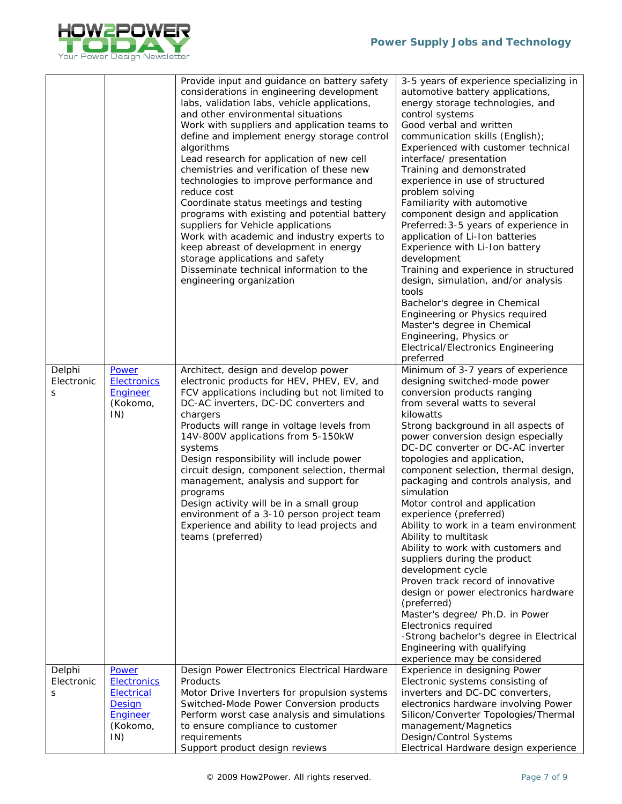

|                           |                                                                                                  | Provide input and guidance on battery safety<br>considerations in engineering development<br>labs, validation labs, vehicle applications,<br>and other environmental situations<br>Work with suppliers and application teams to<br>define and implement energy storage control<br>algorithms<br>Lead research for application of new cell<br>chemistries and verification of these new<br>technologies to improve performance and<br>reduce cost<br>Coordinate status meetings and testing<br>programs with existing and potential battery<br>suppliers for Vehicle applications<br>Work with academic and industry experts to<br>keep abreast of development in energy<br>storage applications and safety<br>Disseminate technical information to the<br>engineering organization | 3-5 years of experience specializing in<br>automotive battery applications,<br>energy storage technologies, and<br>control systems<br>Good verbal and written<br>communication skills (English);<br>Experienced with customer technical<br>interface/ presentation<br>Training and demonstrated<br>experience in use of structured<br>problem solving<br>Familiarity with automotive<br>component design and application<br>Preferred: 3-5 years of experience in<br>application of Li-Ion batteries<br>Experience with Li-Ion battery<br>development<br>Training and experience in structured<br>design, simulation, and/or analysis<br>tools<br>Bachelor's degree in Chemical<br>Engineering or Physics required<br>Master's degree in Chemical<br>Engineering, Physics or<br><b>Electrical/Electronics Engineering</b><br>preferred                                                  |
|---------------------------|--------------------------------------------------------------------------------------------------|------------------------------------------------------------------------------------------------------------------------------------------------------------------------------------------------------------------------------------------------------------------------------------------------------------------------------------------------------------------------------------------------------------------------------------------------------------------------------------------------------------------------------------------------------------------------------------------------------------------------------------------------------------------------------------------------------------------------------------------------------------------------------------|-----------------------------------------------------------------------------------------------------------------------------------------------------------------------------------------------------------------------------------------------------------------------------------------------------------------------------------------------------------------------------------------------------------------------------------------------------------------------------------------------------------------------------------------------------------------------------------------------------------------------------------------------------------------------------------------------------------------------------------------------------------------------------------------------------------------------------------------------------------------------------------------|
| Delphi<br>Electronic<br>S | Power<br><b>Electronics</b><br>Engineer<br>(Kokomo,<br>IN)                                       | Architect, design and develop power<br>electronic products for HEV, PHEV, EV, and<br>FCV applications including but not limited to<br>DC-AC inverters, DC-DC converters and<br>chargers<br>Products will range in voltage levels from<br>14V-800V applications from 5-150kW<br>systems<br>Design responsibility will include power<br>circuit design, component selection, thermal<br>management, analysis and support for<br>programs<br>Design activity will be in a small group<br>environment of a 3-10 person project team<br>Experience and ability to lead projects and<br>teams (preferred)                                                                                                                                                                                | Minimum of 3-7 years of experience<br>designing switched-mode power<br>conversion products ranging<br>from several watts to several<br>kilowatts<br>Strong background in all aspects of<br>power conversion design especially<br>DC-DC converter or DC-AC inverter<br>topologies and application,<br>component selection, thermal design,<br>packaging and controls analysis, and<br>simulation<br>Motor control and application<br>experience (preferred)<br>Ability to work in a team environment<br>Ability to multitask<br>Ability to work with customers and<br>suppliers during the product<br>development cycle<br>Proven track record of innovative<br>design or power electronics hardware<br>(preferred)<br>Master's degree/ Ph.D. in Power<br>Electronics required<br>-Strong bachelor's degree in Electrical<br>Engineering with qualifying<br>experience may be considered |
| Delphi<br>Electronic<br>S | Power<br><b>Electronics</b><br><b>Electrical</b><br><b>Design</b><br>Engineer<br>(Kokomo,<br>IN) | Design Power Electronics Electrical Hardware<br>Products<br>Motor Drive Inverters for propulsion systems<br>Switched-Mode Power Conversion products<br>Perform worst case analysis and simulations<br>to ensure compliance to customer<br>requirements<br>Support product design reviews                                                                                                                                                                                                                                                                                                                                                                                                                                                                                           | Experience in designing Power<br>Electronic systems consisting of<br>inverters and DC-DC converters,<br>electronics hardware involving Power<br>Silicon/Converter Topologies/Thermal<br>management/Magnetics<br>Design/Control Systems<br>Electrical Hardware design experience                                                                                                                                                                                                                                                                                                                                                                                                                                                                                                                                                                                                         |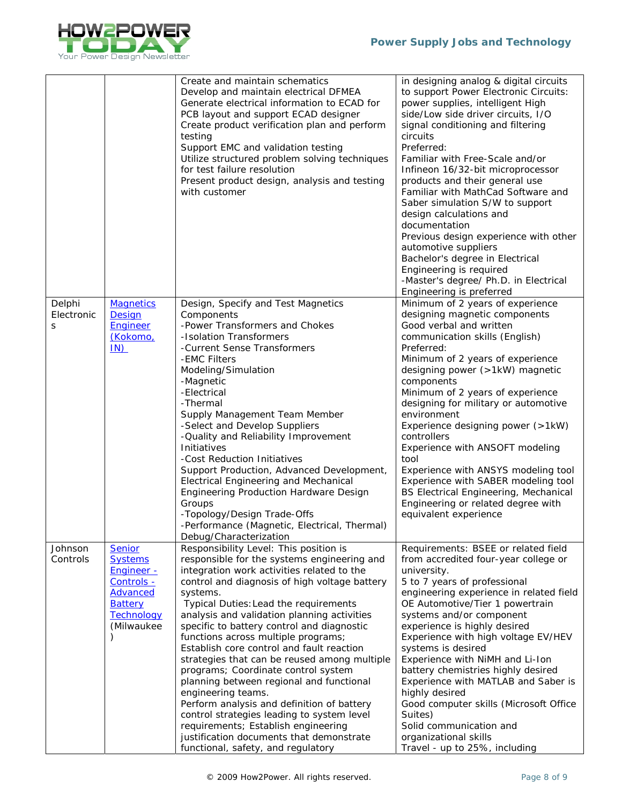

|                           |                                                                                                                              | Create and maintain schematics<br>Develop and maintain electrical DFMEA<br>Generate electrical information to ECAD for<br>PCB layout and support ECAD designer<br>Create product verification plan and perform<br>testing<br>Support EMC and validation testing<br>Utilize structured problem solving techniques<br>for test failure resolution<br>Present product design, analysis and testing<br>with customer                                                                                                                                                                                                                                                                                                                                                                                         | in designing analog & digital circuits<br>to support Power Electronic Circuits:<br>power supplies, intelligent High<br>side/Low side driver circuits, I/O<br>signal conditioning and filtering<br>circuits<br>Preferred:<br>Familiar with Free-Scale and/or<br>Infineon 16/32-bit microprocessor<br>products and their general use<br>Familiar with MathCad Software and<br>Saber simulation S/W to support<br>design calculations and<br>documentation<br>Previous design experience with other<br>automotive suppliers<br>Bachelor's degree in Electrical<br>Engineering is required<br>-Master's degree/ Ph.D. in Electrical<br>Engineering is preferred |
|---------------------------|------------------------------------------------------------------------------------------------------------------------------|----------------------------------------------------------------------------------------------------------------------------------------------------------------------------------------------------------------------------------------------------------------------------------------------------------------------------------------------------------------------------------------------------------------------------------------------------------------------------------------------------------------------------------------------------------------------------------------------------------------------------------------------------------------------------------------------------------------------------------------------------------------------------------------------------------|-------------------------------------------------------------------------------------------------------------------------------------------------------------------------------------------------------------------------------------------------------------------------------------------------------------------------------------------------------------------------------------------------------------------------------------------------------------------------------------------------------------------------------------------------------------------------------------------------------------------------------------------------------------|
| Delphi<br>Electronic<br>S | <b>Magnetics</b><br>Design<br><b>Engineer</b><br>(Kokomo,<br>IN                                                              | Design, Specify and Test Magnetics<br>Components<br>-Power Transformers and Chokes<br>-Isolation Transformers<br>-Current Sense Transformers<br>-EMC Filters<br>Modeling/Simulation<br>-Magnetic<br>-Electrical<br>-Thermal<br>Supply Management Team Member<br>-Select and Develop Suppliers<br>-Quality and Reliability Improvement<br>Initiatives<br>-Cost Reduction Initiatives<br>Support Production, Advanced Development,<br><b>Electrical Engineering and Mechanical</b><br>Engineering Production Hardware Design<br>Groups<br>-Topology/Design Trade-Offs<br>-Performance (Magnetic, Electrical, Thermal)<br>Debug/Characterization                                                                                                                                                            | Minimum of 2 years of experience<br>designing magnetic components<br>Good verbal and written<br>communication skills (English)<br>Preferred:<br>Minimum of 2 years of experience<br>designing power (>1kW) magnetic<br>components<br>Minimum of 2 years of experience<br>designing for military or automotive<br>environment<br>Experience designing power (>1kW)<br>controllers<br>Experience with ANSOFT modeling<br>tool<br>Experience with ANSYS modeling tool<br>Experience with SABER modeling tool<br>BS Electrical Engineering, Mechanical<br>Engineering or related degree with<br>equivalent experience                                           |
| Johnson<br>Controls       | <b>Senior</b><br><b>Systems</b><br><b>Engineer -</b><br>Controls -<br>Advanced<br><b>Battery</b><br>Technology<br>(Milwaukee | Responsibility Level: This position is<br>responsible for the systems engineering and<br>integration work activities related to the<br>control and diagnosis of high voltage battery<br>systems.<br>Typical Duties: Lead the requirements<br>analysis and validation planning activities<br>specific to battery control and diagnostic<br>functions across multiple programs;<br>Establish core control and fault reaction<br>strategies that can be reused among multiple<br>programs; Coordinate control system<br>planning between regional and functional<br>engineering teams.<br>Perform analysis and definition of battery<br>control strategies leading to system level<br>requirements; Establish engineering<br>justification documents that demonstrate<br>functional, safety, and regulatory | Requirements: BSEE or related field<br>from accredited four-year college or<br>university.<br>5 to 7 years of professional<br>engineering experience in related field<br>OE Automotive/Tier 1 powertrain<br>systems and/or component<br>experience is highly desired<br>Experience with high voltage EV/HEV<br>systems is desired<br>Experience with NiMH and Li-Ion<br>battery chemistries highly desired<br>Experience with MATLAB and Saber is<br>highly desired<br>Good computer skills (Microsoft Office<br>Suites)<br>Solid communication and<br>organizational skills<br>Travel - up to 25%, including                                               |